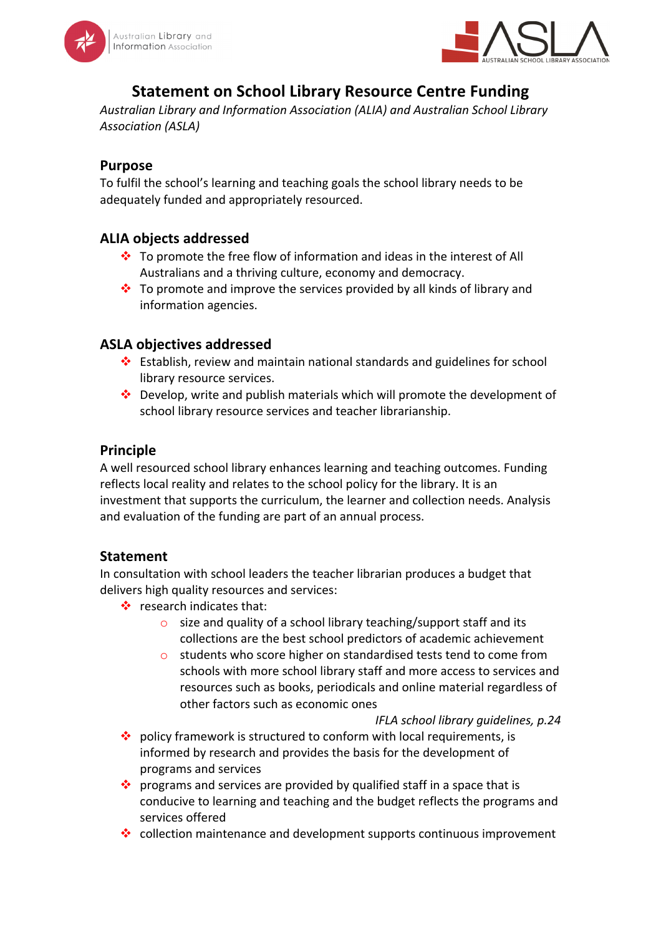



# **Statement on School Library Resource Centre Funding**

Australian Library and Information Association (ALIA) and Australian School Library *Association (ASLA)*

# **Purpose**

To fulfil the school's learning and teaching goals the school library needs to be adequately funded and appropriately resourced.

# **ALIA objects addressed**

- $\cdot$  To promote the free flow of information and ideas in the interest of All Australians and a thriving culture, economy and democracy.
- $\cdot$  To promote and improve the services provided by all kinds of library and information agencies.

## **ASLA objectives addressed**

- $\cdot$  Establish, review and maintain national standards and guidelines for school library resource services.
- $\cdot$  Develop, write and publish materials which will promote the development of school library resource services and teacher librarianship.

## **Principle**

A well resourced school library enhances learning and teaching outcomes. Funding reflects local reality and relates to the school policy for the library. It is an investment that supports the curriculum, the learner and collection needs. Analysis and evaluation of the funding are part of an annual process.

#### **Statement**

In consultation with school leaders the teacher librarian produces a budget that delivers high quality resources and services:

- $\cdot \cdot$  research indicates that:
	- $\circ$  size and quality of a school library teaching/support staff and its collections are the best school predictors of academic achievement
	- $\circ$  students who score higher on standardised tests tend to come from schools with more school library staff and more access to services and resources such as books, periodicals and online material regardless of other factors such as economic ones

*IFLA school library guidelines, p.24*

- $\cdot$  policy framework is structured to conform with local requirements, is informed by research and provides the basis for the development of programs and services
- $\cdot$  programs and services are provided by qualified staff in a space that is conducive to learning and teaching and the budget reflects the programs and services offered
- $\cdot$  collection maintenance and development supports continuous improvement